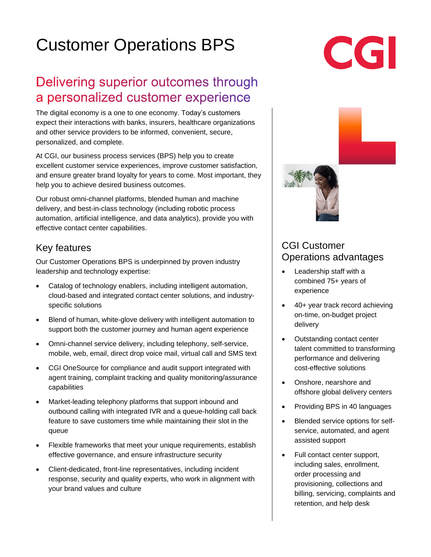# Customer Operations BPS

## Delivering superior outcomes through a personalized customer experience

The digital economy is a one to one economy. Today's customers expect their interactions with banks, insurers, healthcare organizations and other service providers to be informed, convenient, secure, personalized, and complete.

At CGI, our business process services (BPS) help you to create excellent customer service experiences, improve customer satisfaction, and ensure greater brand loyalty for years to come. Most important, they help you to achieve desired business outcomes.

Our robust omni-channel platforms, blended human and machine delivery, and best-in-class technology (including robotic process automation, artificial intelligence, and data analytics), provide you with effective contact center capabilities.

#### Key features

Our Customer Operations BPS is underpinned by proven industry leadership and technology expertise:

- Catalog of technology enablers, including intelligent automation, cloud-based and integrated contact center solutions, and industryspecific solutions
- Blend of human, white-glove delivery with intelligent automation to support both the customer journey and human agent experience
- Omni-channel service delivery, including telephony, self-service, mobile, web, email, direct drop voice mail, virtual call and SMS text
- CGI OneSource for compliance and audit support integrated with agent training, complaint tracking and quality monitoring/assurance capabilities
- Market-leading telephony platforms that support inbound and outbound calling with integrated IVR and a queue-holding call back feature to save customers time while maintaining their slot in the queue
- Flexible frameworks that meet your unique requirements, establish effective governance, and ensure infrastructure security
- Client-dedicated, front-line representatives, including incident response, security and quality experts, who work in alignment with your brand values and culture



## CGI Customer Operations advantages

- Leadership staff with a combined 75+ years of experience
- 40+ year track record achieving on-time, on-budget project delivery
- Outstanding contact center talent committed to transforming performance and delivering cost-effective solutions
- Onshore, nearshore and offshore global delivery centers
- Providing BPS in 40 languages
- Blended service options for selfservice, automated, and agent assisted support
- Full contact center support, including sales, enrollment, order processing and provisioning, collections and billing, servicing, complaints and retention, and help desk